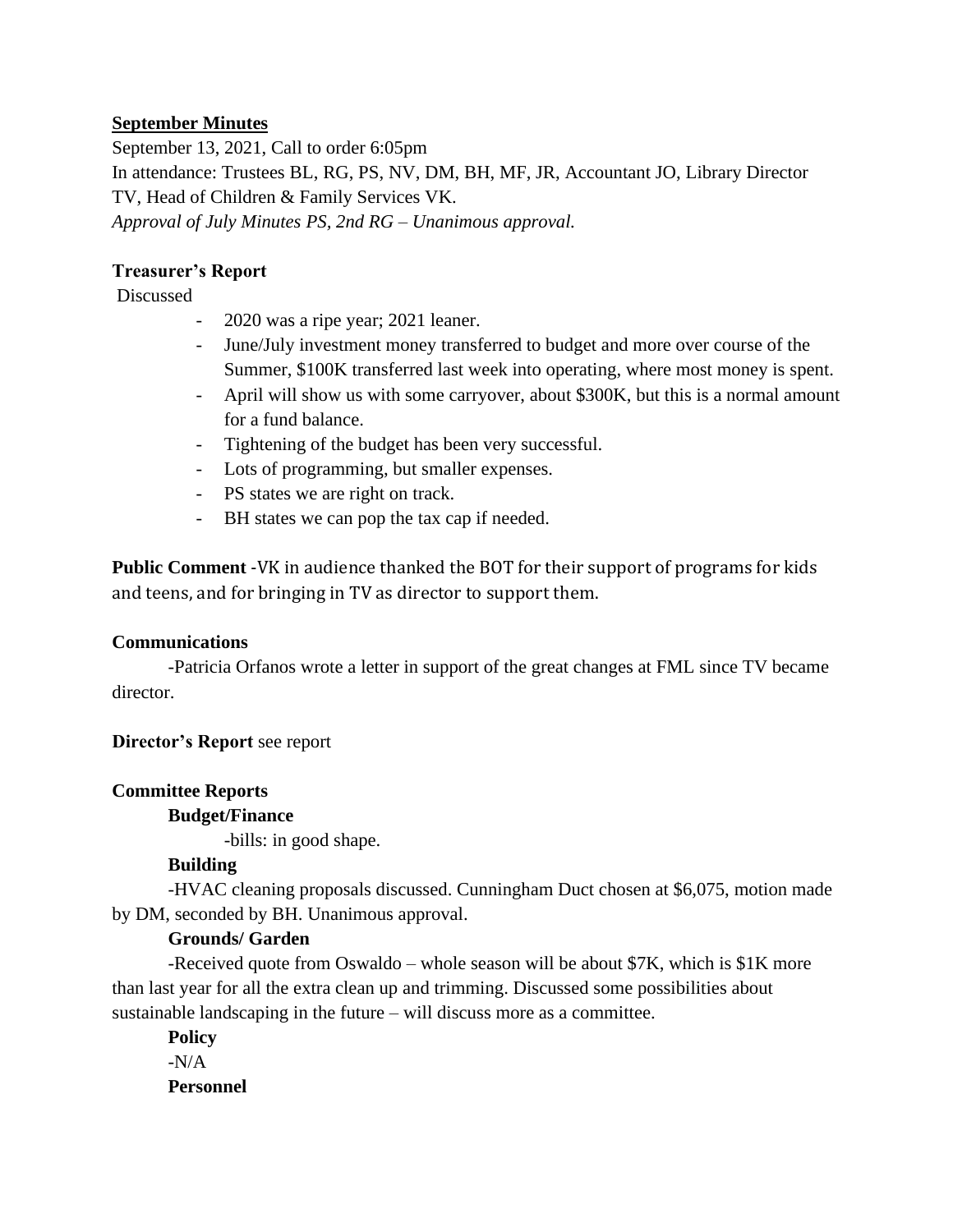## **September Minutes**

September 13, 2021, Call to order 6:05pm In attendance: Trustees BL, RG, PS, NV, DM, BH, MF, JR, Accountant JO, Library Director TV, Head of Children & Family Services VK. *Approval of July Minutes PS, 2nd RG – Unanimous approval.* 

## **Treasurer's Report**

### Discussed

- 2020 was a ripe year; 2021 leaner.
- June/July investment money transferred to budget and more over course of the Summer, \$100K transferred last week into operating, where most money is spent.
- April will show us with some carryover, about \$300K, but this is a normal amount for a fund balance.
- Tightening of the budget has been very successful.
- Lots of programming, but smaller expenses.
- PS states we are right on track.
- BH states we can pop the tax cap if needed.

**Public Comment** -VK in audience thanked the BOT for their support of programs for kids and teens, and for bringing in TV as director to support them.

### **Communications**

-Patricia Orfanos wrote a letter in support of the great changes at FML since TV became director.

# **Director's Report** see report

### **Committee Reports**

### **Budget/Finance**

-bills: in good shape.

# **Building**

-HVAC cleaning proposals discussed. Cunningham Duct chosen at \$6,075, motion made by DM, seconded by BH. Unanimous approval.

### **Grounds/ Garden**

-Received quote from Oswaldo – whole season will be about \$7K, which is \$1K more than last year for all the extra clean up and trimming. Discussed some possibilities about sustainable landscaping in the future – will discuss more as a committee.

**Policy**  $-N/A$ **Personnel**